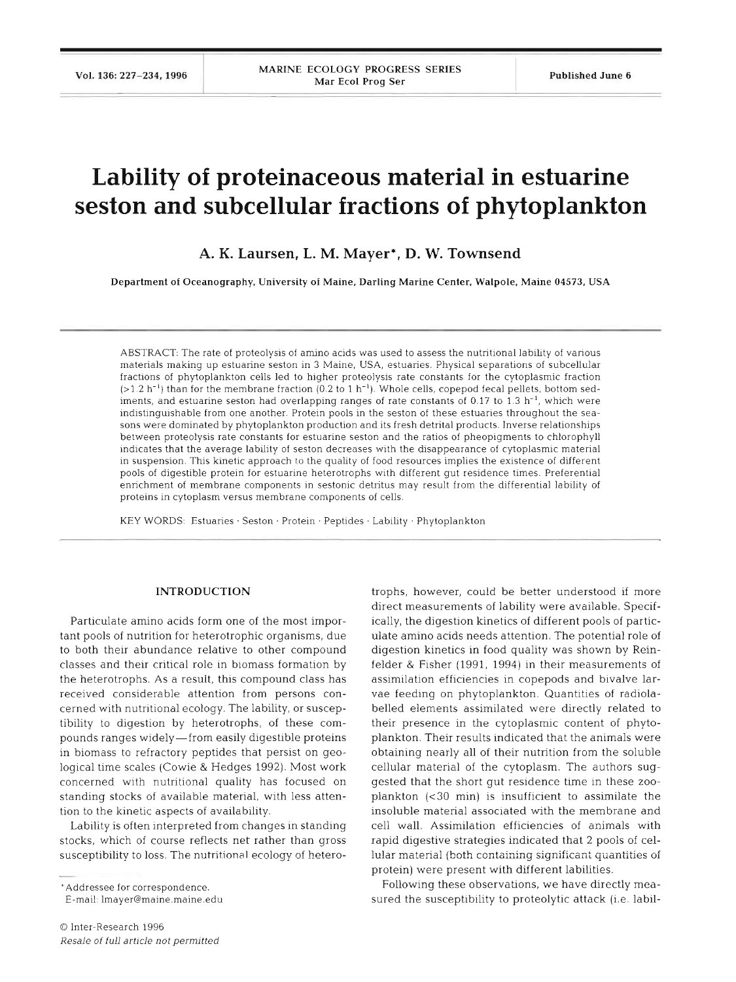# **Lability of proteinaceous material in estuarine seston and subcellular fractions of phytoplankton**

**A. K. Laursen, L. M. Mayer\*, D. W. Townsend** 

**Department of Oceanography, University of Maine, Darling Marine Center, Walpole, Maine 04573, USA** 

ABSTRACT: The rate of proteolysis of amino acids was used to assess the nutritional lability of various materials making up estuarine seston in 3 Maine, USA, estuaries. Physical separations of subcellular fractions of phytoplankton cells led to higher proteolysis rate constants for the cytoplasmic fractlon  $(>1.2 \text{ h}^{-1})$  than for the membrane fraction (0.2 to 1 h<sup>-1</sup>). Whole cells, copepod fecal pellets, bottom sediments, and estuarine seston had overlapping ranges of rate constants of  $0.17$  to  $1.3$   $h^{-1}$ , which were indistinguishable from one another. Protein pools in the seston of these estuaries throughout the seasons were dominated by phytoplankton production and its fresh detrital products Inverse relationships between proteolysis rate constants for estuarine seston and the ratios of pheopigments to chlorophyll indicates that the average lability of seston decreases with the disappearance of cytoplasmic material in suspension. This kinetic approach to the quality of food resources implies the existence of different pools of digestible protein for estuarine heterotrophs with different gut residence times. Preferential enrichment of membrane components in sestonic detritus may result from the differential lability of proteins in cytoplasm versus membrane components of cells

KEY WORDS: Estuaries · Seston · Protein · Peptides · Lability · Phytoplankton

## **INTRODUCTION**

Particulate amino acids form one of the most important pools of nutrition for heterotrophic organisms, due to both their abundance relative to other compound classes and their critical role in blomass formation by the heterotrophs. As a result, this compound class has received considerable attention from persons concerned with nutritional ecology. The lability, or susceptibility to digestion by heterotrophs, of these compounds ranges widely-from easily digestible proteins in biomass to refractory peptides that persist on geological time scales (Cowie & Hedges 1992). Most work concerned with nutritional quality has focused on standing stocks of available material, with less attention to the kinetic aspects of availability.

Lability is often interpreted from changes in standing stocks, which of course reflects net rather than gross susceptibility to loss. The nutritional ecology of hetero-

'Addressee for correspondence.

E-mail lmayer@maine.maine.edu

*O* Inter-Research 1996 Resale of full article not permitted

trophs, however, could be better understood if more direct measurements of lability were available. Specifically, the digestion kinetics of different pools of particulate amino acids needs attention. The potential role of digestion kinetics in food quality was shown by Reinfelder & Fisher (1991, 1994) in their measurements of assimilation efficiencies in copepods and bivalve larvae feeding on phytoplankton. Quantities of radiolabelled elements assimilated were directly related to their presence in the cytoplasmic content of phytoplankton. Their results indicated that the animals were obtaining nearly all of their nutrition from the soluble cellular material of the cytoplasm. The authors suggested that the short gut residence time in these zooplankton  $(30 \text{ min})$  is insufficient to assimilate the insoluble material associated with the membrane and cell wall. Assimilation efficiencies of animals with rapid digestive strategies indicated that 2 pools of cellular material (both containing significant quantities of protein) were present with different labilities.

Following these observations, we have directly measured the susceptibility to proteolytic attack (i.e. labil-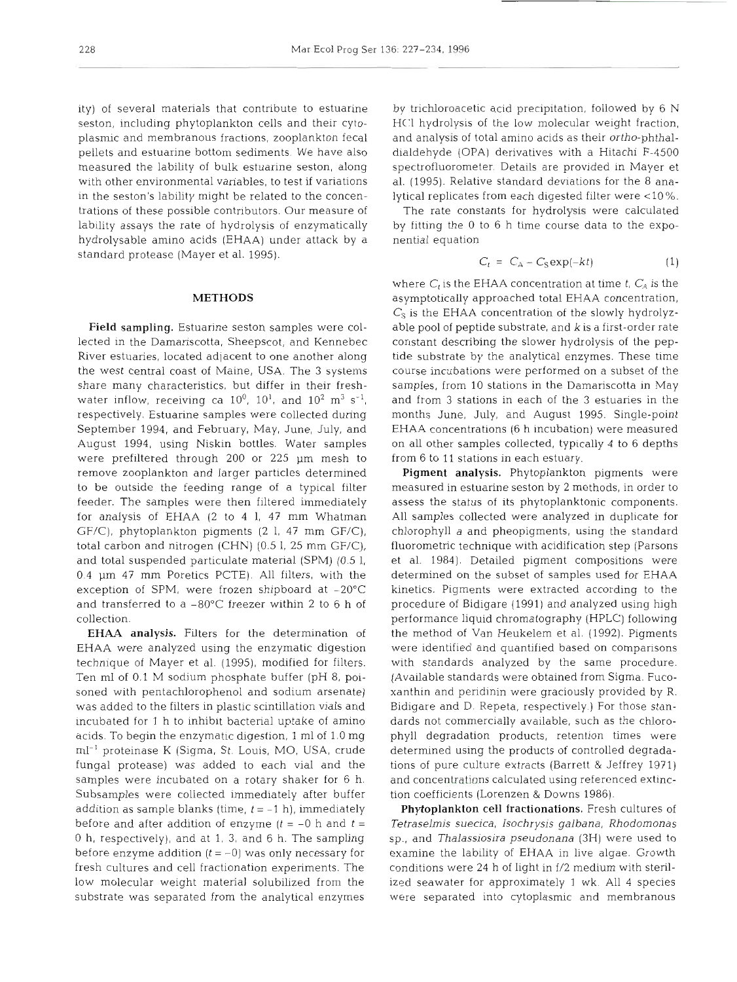ity) of several materials that contribute to estuarine seston, including phytoplankton cells and their cytoplasmic and membranous fractions, zooplankton fecal pellets and estuarine bottom sediments. We have also measured the lability of bulk estuarine seston, along with other environmental variables, to test if variations in the seston's lability might be related to the concentrations of these possible contributors. Our measure of lability assays the rate of hydrolysis of enzymatically hydrolysable amino acids (EHAA) under attack by a standard protease (Mayer et al. 1995).

## **METHODS**

Field sampling. Estuarine seston samples were collected in the Damariscotta, Sheepscot, and Kennebec River estuaries, located adjacent to one another along the west central coast of Maine, USA. The 3 systems share many characteristics, but differ in their freshwater inflow, receiving ca  $10^0$ ,  $10^1$ , and  $10^2$  m<sup>3</sup> s<sup>-1</sup>, respectively. Estuarine samples were collected during September 1994, and February, May, June, July, and August 1994, using Niskin bottles. Water samples were prefiltered through 200 or 225 pm mesh to remove zooplankton and larger particles determined to be outside the feeding range of a typical filter feeder. The samples were then filtered immediately for analysis of EHAA (2 to 4 1, 47 mm Whatman GF/C), phytoplankton pigments (2 1, 47 mm GF/C), total carbon and nitrogen (CHN) (0.5 1, 25 mm GF/C), and total suspended particulate material (SPM) (0.5 1,  $0.4 \, \mu m$  47 mm Poretics PCTE). All filters, with the exception of SPM, were frozen shipboard at  $-20^{\circ}$ C and transferred to a  $-80^{\circ}$ C freezer within 2 to 6 h of collection.

EHAA analysis. Filters for the determination of EHAA were analyzed using the enzymatic digestion technique of Mayer et al. (1995), modified for filters. Ten m1 of 0.1 M sodium phosphate buffer (pH 8, poisoned with pentachlorophenol and sodium arsenate) was added to the filters in plastic scintillation vials and incubated for 1 h to inhibit bacterial uptake of amlno acids. To begin the enzymatic digestion, 1 m1 of 1.0 mg ml-' proteinase K (Sigma, St. Louis, MO, USA, crude fungal protease) was added to each via1 and the samples were incubated on a rotary shaker for 6 h. Subsamples were collected immediately after buffer addition as sample blanks (time,  $t = -1$  h), immediately before and after addition of enzyme  $(t = -0$  h and  $t =$ 0 h, respectively), and at 1, 3, and 6 h. The sampling before enzyme addition  $(t = -0)$  was only necessary for fresh cultures and cell fractionation experiments. The low molecular weight material solubilized from the substrate was separated from the analytical enzymes

by trichloroacetic acid precipitation, followed by 6 N HCl hydrolysis of the low molecular weight fraction, and analysis of total amino acids as their ortho-phthaldialdehyde (OPA) derivatives with a Hitachi F-4500 spectrofluorometer. Details are provided in Mayer et al. (1995). Relative standard deviations for the 8 analytical replicates from each digested filter were <10%.

The rate constants for hydrolysis were calculated by fitting the 0 to 6 h time course data to the exponential equation

$$
C_t = C_A - C_S \exp(-kt) \tag{1}
$$

where  $C_t$  is the EHAA concentration at time  $t$ ,  $C_A$  is the asymptotically approached total EHAA concentration,  $C_S$  is the EHAA concentration of the slowly hydrolyzable pool of peptide substrate, and k is a first-order rate constant describing the slower hydrolysis of the peptide substrate by the analytical enzymes. These time course incubations were performed on a subset of the samples, from 10 stations in the Damariscotta in May and from **3** stations in each of the **3** estuaries in the months June, July, and August 1995. Single-point EHAA concentrations (6 h incubation) were measured on all other samples collected, typically 4 to 6 depths from 6 to 11 stations in each estuary.

Pigment analysis. Phytoplankton pigments were measured in estuarine seston by **2** methods, in order to assess the status of its phytoplanktonic components. All samples collected were analyzed in duplicate for chlorophyll a and pheopigments, using the standard fluorometric technique with acidification step (Parsons et al. 1984). Detailed pigment compositions were determined on the subset of samples used for EHAA kinetics. Pigments were extracted according to the procedure of Bidigare (1991) and analyzed using high performance liquid chromatography (HPLC) following the method of Van Heukelem et al. (1992). Pigments were identified and quantified based on comparisons with standards analyzed by the same procedure. (Available standards were obtained from Sigma. Fucoxanthin and peridinin were graciously provided by R. Bidigare and D. Repeta, respectively.) For those standards not commercially available, such as the chlorophyll degradation products, retention times were determined using the products of controlled degradations of pure culture extracts (Barrett & Jeffrey 1971) and concentrations calculated using referenced extinction coefficients (Lorenzen & Downs 1986).

Phytoplankton cell fractionations. Fresh cultures of Tetraselmis suecica, Isochrysis galbana, Rhodomonas sp., and Thalassiosira pseudonana (3H) were used to examine the lability of EHAA in live algae. Growth conditions were 24 h of light in f/2 medium with sterilized seawater for approximately 1 wk. All 4 species were separated into cytoplasmic and membranous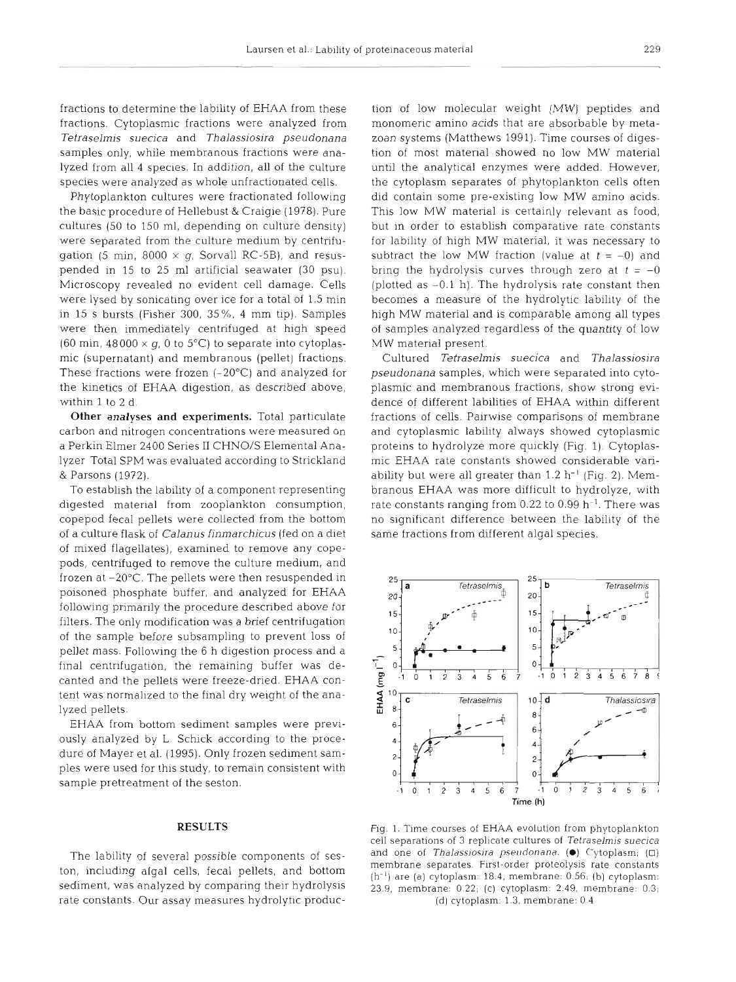fractions to determine the lability of EHAA from these fractions. Cytoplasmic fractions were analyzed from *Tetr-aselmis suecica* and *Thalassiosira pseudonana*  samples only, while membranous fractions were analyzed from all 4 species. In addition, all of the culture species were analyzed as whole unfractionated cells.

Phytoplankton cultures were fractionated following the basic procedure of Hellebust & Craigie (1978). Pure cultures (50 to 150 ml, depending on culture density) were separated from the culture medium by centrifugation (5 min, 8000  $\times$  q, Sorvall RC-5B), and resuspended in 15 to 25 m1 artificial seawater (30 psu). Microscopy revealed no evident cell damage. Cells were lysed by sonicating over ice for a total of 1.5 min in 15 S bursts (Fisher 300, 35%, 4 mm tip). Samples were then immediately centrifuged at high speed (60 min,  $48000 \times q$ , 0 to 5<sup>o</sup>C) to separate into cytoplasmic (supernatant) and membranous (pellet) fractions. These fractions were frozen  $(-20^{\circ}C)$  and analyzed for the kinetics of **EHAA** digestion, as described above, within 1 to 2 d.

**Other analyses and experiments.** Total particulate carbon and nitrogen concentrations were measured on a Perkin Elmer 2400 Series I1 CHNO/S Elemental Analyzer Total SPM was evaluated according to Strickland & Parsons (1972).

To establish the lability of a component representing digested material from zooplankton consumption, copepod fecal pellets were collected from the bottom of a culture flask of *Calanus finmarchicus* (fed on a diet of mixed flagellates), examined to remove any copepods, centrifuged to remove the culture medium, and frozen at -20°C. The pellets were then resuspended in poisoned phosphate buffer, and analyzed for **EHAA**  following primarily the procedure described above for filters. The only modification was a brief centrifugation of the sample before subsampling to prevent loss of pellet mass. Following the 6 h digestion process and a final centrifugation, the remaining buffer was decanted and the pellets were freeze-dried. **EHAA** content was normalized to the final dry weight of the analyzed pellets.

EHAA from bottom sediment samples were previously analyzed by L. Schick according to the procedure of Mayer et al. (1995). Only frozen sediment samples were used for this study, to remain consistent with sample pretreatment of the seston.

## **RESULTS**

The lability of several possible components of seston, including algal cells, fecal pellets, and bottom sediment, was analyzed by comparing their hydrolysis rate constants. Our assay measures hydrolytic production of low molecular weight (MW) peptides and<br>monomeric amino acids that are absorbable by meta-<br>zoan systems (Matthews 1991). Time courses of diges-<br>tion of most material showed no low MW material<br>until the analytical e

(plotted as  $-0.1$  h). The hydrolysis rate constant then<br>becomes a measure of the hydrolytic lability of the<br>high MW material and is comparable among all types<br>of samples analyzed regardless of the quantity of low<br>MW mate



Fig 1. Time courses of EHAA evolution from phytoplankton cell separations of 3 replicate cultures of *Tetraselmis* suecica and one of *Thalassioslra jlseudonana.* **(m)** C7ytop1asm; (U)  $(h^{-1})$  are (a) cytoplasm: 18.4, membrane: 0.56; (b) cytoplasm: 23.9, membrane: 0.22; (c) cytoplasm: 2.49, membrane: 0.3; (d) cytoplasm: 1.3, membrane: 0.4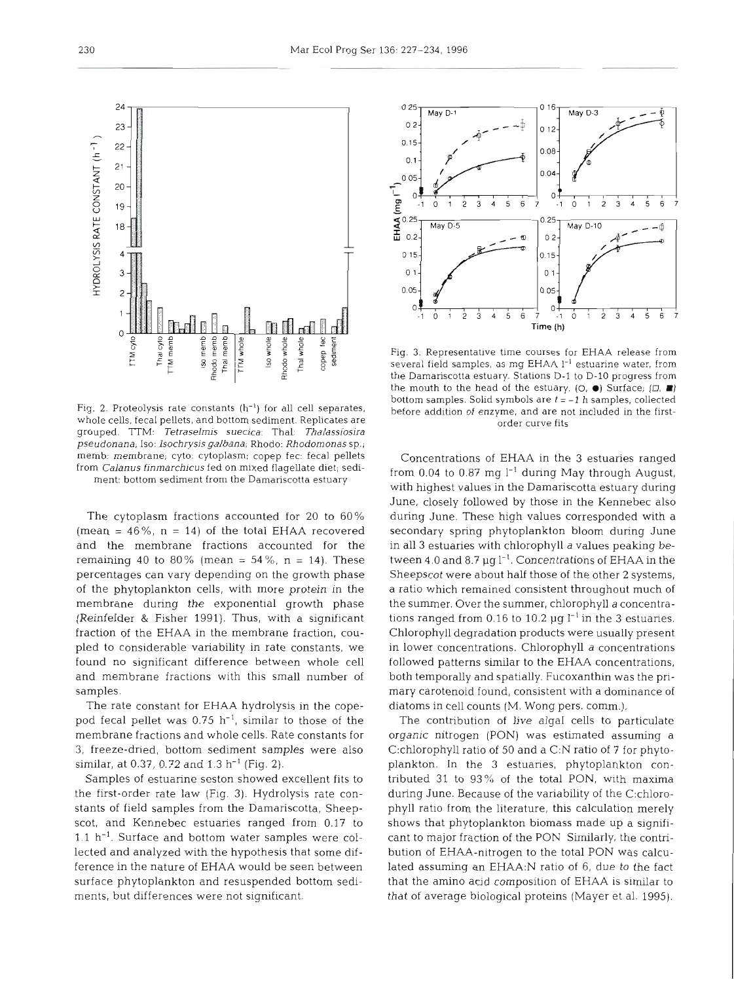Fig. 2. Proteolysis rate constants  $(h^{-1})$  for all cell separates, whole cells, fecal pellets, and bottom sediment. Replicates are grouped. TTM: Tetraselmis suecica: Thal: Thalassiosira pseudonana; Iso: Isochrysis galbana; Rhodo: Rhodomonas sp.; memb. membrane, cyto: cytoplasm; copep fec: fecal pellets from Calanus finmarchicus fed on mixed flagellate diet; sediment: bottom sediment from the Damariscotta estuary

The cytoplasm fractions accounted for 20 to 60% (mean =  $46\%$ , n = 14) of the total EHAA recovered and the membrane fractions accounted for the remaining 40 to 80% (mean =  $54\%$ , n = 14). These percentages can vary depending on the growth phase of the phytoplankton cells, with more protein in the membrane during the exponential growth phase (Reinfelder & Fisher 1991). Thus, with a significant fraction of the EHAA in the membrane fraction, coupled to considerable variability in rate constants, we found no significant difference between whole cell and membrane fractions with this small number of samples.

The rate constant for EHAA hydrolysis in the copepod fecal pellet was  $0.75$  h<sup>-1</sup>, similar to those of the membrane fractions and whole cells. Rate constants for 3, freeze-dried, bottom sediment samples were also similar, at 0.37, 0.72 and 1.3  $h^{-1}$  (Fig. 2).

Samples of estuarine seston showed excellent fits to the first-order rate law (Fig. 3). Hydrolysis rate constants of field samples from the Damariscotta, Sheepscot, and Kennebec estuaries ranged from 0.17 to  $1.1$   $h^{-1}$ . Surface and bottom water samples were collected and analyzed with the hypothesis that some **dif**ference in the nature of EHAA would be seen between surface phytoplankton and resuspended bottom sediments, but differences were not significant.



Concentrations of EHAA in the 3 estuaries ranged from 0.04 to 0.87 mg  $l^{-1}$  during May through August, with highest values in the Damariscotta estuary during June, closely followed by those in the Kennebec also during June. These high values corresponded with a secondary spring phytoplankton bloom during June in all 3 estuaries with chlorophyll a values peaking between 4.0 and 8.7  $\mu$ g l<sup>-1</sup>. Concentrations of EHAA in the Sheepscot were about half those of the other 2 systems, a ratio which remained consistent throughout much of the summer. Over the summer, chlorophyll a concentrations ranged from 0.16 to 10.2  $\mu$ g l<sup>-1</sup> in the 3 estuaries. Chlorophyll degradation products were usually present in lower concentrations. Chlorophyll a concentrations followed patterns similar to the EHAA concentrations, both temporally and spatially. Fucoxanthin was the primary carotenoid found, consistent with a dominance of diatoms in cell counts (M. Wong pers. comm.).

The contribution of live algal cells to particulate organic nitrogen (PON) was estimated assuming a C:chlorophyll ratio of 50 and a C:N ratio of **7** for phytoplankton. In the **3** estuaries, phytoplankton contributed 31 to 93% of the total PON, with maxima during June. Because of the variability of the C:chlorophyll ratio from the literature, this calculation merely shows that phytoplankton biomass made up a significant to major fraction of the PON Similarly, the contribution of EHAA-nitrogen to the total PON was calculated assuming an EHAA:N ratio of 6, due to the fact that the amino acid composition of EHAA is similar to that of average biological proteins (Mayer et al. 1995).



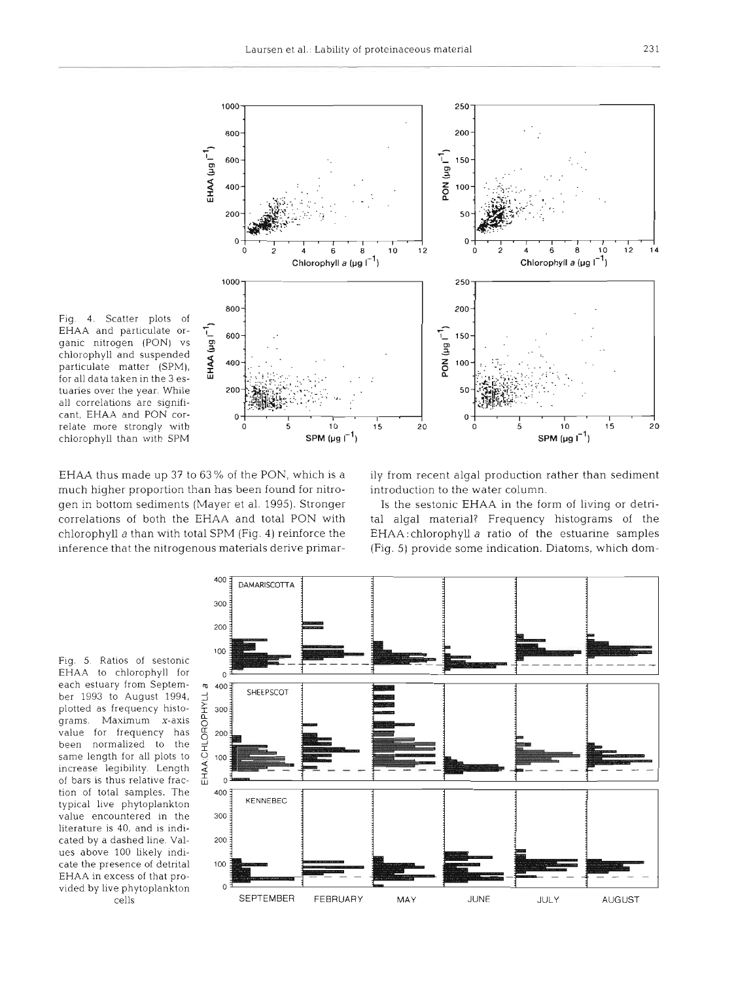

Fig. 4. Scatter plots of EHAA and particulate organic nitrogen (PON) vs chlorophyll and suspended particulate matter (SPM), for all data taken in the **3** estuaries over the year. While all correlations are significant, EHAA and PON correlate more strongly with chlorophyll than with SPM

much higher proportion than has been found for nitro- introduction to the water column. gen in bottom sediments (Mayer et al. 1995). Stronger Is the sestonic EHAA in the form of living or detri-

EHAA thus made up 37 to 63% of the PON, which is a ily from recent algal production rather than sediment

correlations of both the EHAA and total PON with tal algal material? Frequency histograms of the chlorophyll a than with total SPM (Fig. 4) reinforce the EHAA:chlorophyll a ratio of the estuarine samples inference that the nitrogenous materials derive primar- (Fig. 5) provide some indication. Diatoms, which dom-

Fig. 5. Ratios of sestonic EHAA to chlorophyll for **<sup>o</sup>** each estuary from September 1993 to August 1994. plotted as frequency histograms. Maximum x-axis value for frequency has been normalized to the same length for all plots to increase legibility Length of bars is thus relative fraction of total samples. The typical live phytoplankton value encountered in the literature is 40, and is indicated by a dashed line. Values above 100 likely indicate the presence of detrital EHAA in excess of that provided by live phytoplankton

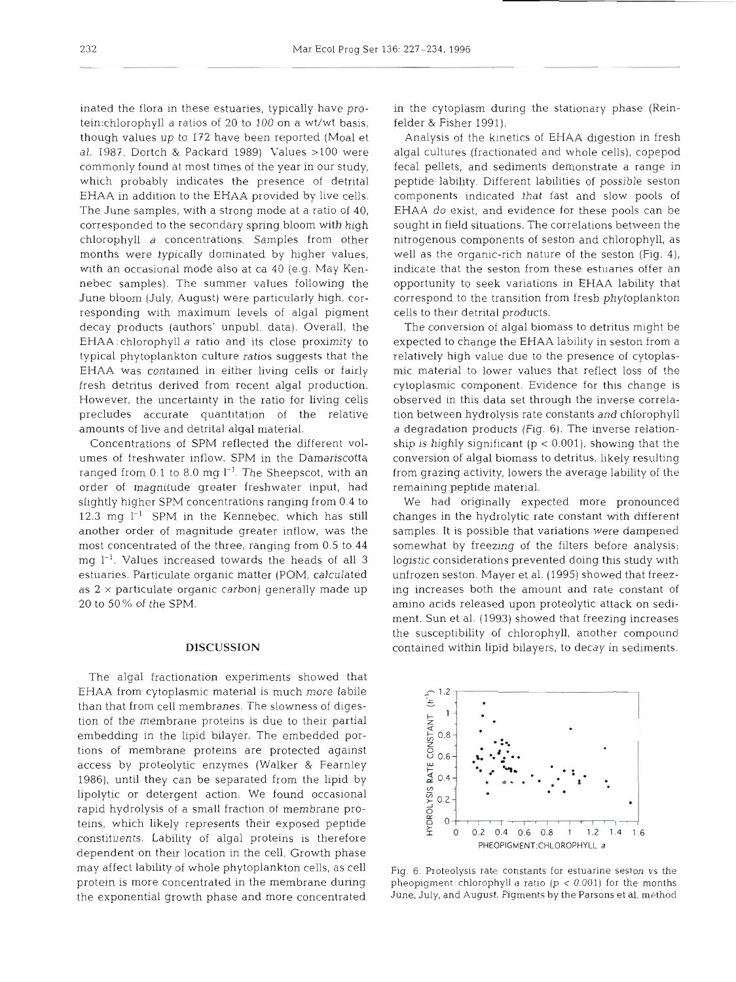inated the flora in these estuaries, typically have protein:chlorophyll a ratios of 20 to 100 on a wt/wt basis, though values up to 172 have been reported (Moal et al. 1987, Dortch & Packard 1989) Values >l00 were commonly found at most times of the year in our study, which probably indicates the presence of detrital EHAA in addition to the EHAA provided by live cells. The June samples, with a strong mode at a ratio of 40, corresponded to the secondary spring bloom with high chlorophyll a concentrations. Samples from other months were typically dominated by higher values, with an occasional mode also at ca 40 (e.g. May Kennebec samples). The summer values following the June bloom (July, August) were particularly high, corresponding with maximum levels of algal pigment decay products (authors' unpubl. data). Overall, the EHAA :chlorophyll a ratio and its close proximity to typical phytoplankton culture ratios suggests that the EHAA was contained in either living cells or fairly fresh detritus derived from recent algal production. However, the uncertainty in the ratio for living cells precludes accurate quantitation of the relative amounts of live and detrital algal material.

Concentrations of SPM reflected the different volumes of freshwater inflow. SPM in the Damariscotta ranged from  $0.1$  to  $8.0$  mg  $1^{-1}$ . The Sheepscot, with an order of magnitude greater freshwater input, had slightly higher SPM concentrations ranging from 0.4 to 12.3 mg  $l^{-1}$  SPM in the Kennebec, which has still another order of magnitude greater inflow, was the most concentrated of the three, ranging from 0.5 to 44 mg  $l^{-1}$ . Values increased towards the heads of all 3 estuaries. Particulate organic matter (POM, calculated as  $2 \times$  particulate organic carbon) generally made up 20 to 50 % of the SPM.

### **DISCUSSION**

The algal fractionation experiments showed that EHAA from cytoplasmic material is much more labile than that from cell membranes. The slowness of digestion of the membrane proteins is due to their partial embedding in the lipid bilayer. The embedded portions of membrane proteins are protected against access by proteolytic enzymes (Walker & Fearnley 1986), until they can be separated from the lipid by lipolytic or detergent action. We found occasional rapid hydrolysis of a small fraction of membrane proteins, which likely represents their exposed peptide constituents. Lability of algal proteins is therefore dependent on their location in the cell. Growth phase may affect lability of whole phytoplankton cells, as cell  $\frac{Fig. 6.$  Proteolysis rate constants for estuarine seston vs the protein is more concentrated in the membrane during pheopigment: chlorophyll *a* ratio (p < 0.001 the exponential growth phase and more concentrated

in the cytoplasm during the stationary phase (Reinfelder & Fisher 1991).

Analysis of the kinetics of EHAA digestion in fresh algal cultures (fractionated and whole cells), copepod fecal pellets, and sediments demonstrate a range in peptide lability. Different labilities of possible seston components indicated that fast and slow pools of EHAA do exist, and evidence for these pools can be sought in field situations. The correlations between the nitrogenous components of seston and chlorophyll, as well as the organic-rich nature of the seston (Fig. 4), indicate that the seston from these estuaries offer an opportunity to seek variations in EHAA lability that correspond to the transition from fresh phytoplankton cells to their detrital products.

The conversion of algal biomass to detritus might be expected to change the EHAA lability in seston from a relatively high value due to the presence of cytoplasmic material to lower values that reflect loss of the cytoplasmic component. Evidence for this change is observed in this data set through the inverse correlation between hydrolysis rate constants and chlorophyll a degradation products (Fig. 6). The inverse relationship is highly significant ( $p < 0.001$ ), showing that the conversion of algal biomass to detritus, likely resulting from grazing activity, lowers the average lability of the remaining peptide material.

We had originally expected more pronounced changes in the hydrolytic rate constant with different samples. It is possible that variations were dampened somewhat by freezing of the filters before analysis; logistic considerations prevented doing this study with unfrozen seston. Mayer et al. (1995) showed that freezing increases both the amount and rate constant of amino acids released upon proteolytic attack on sediment. Sun et al. (1993) showed that freezing increases the susceptibility of chlorophyll, another compound contained within lipid bilayers, to decay in sediments.



pheopigment: chlorophyll a ratio ( $p < 0.001$ ) for the months<br>June, July, and August. Pigments by the Parsons et al. me thod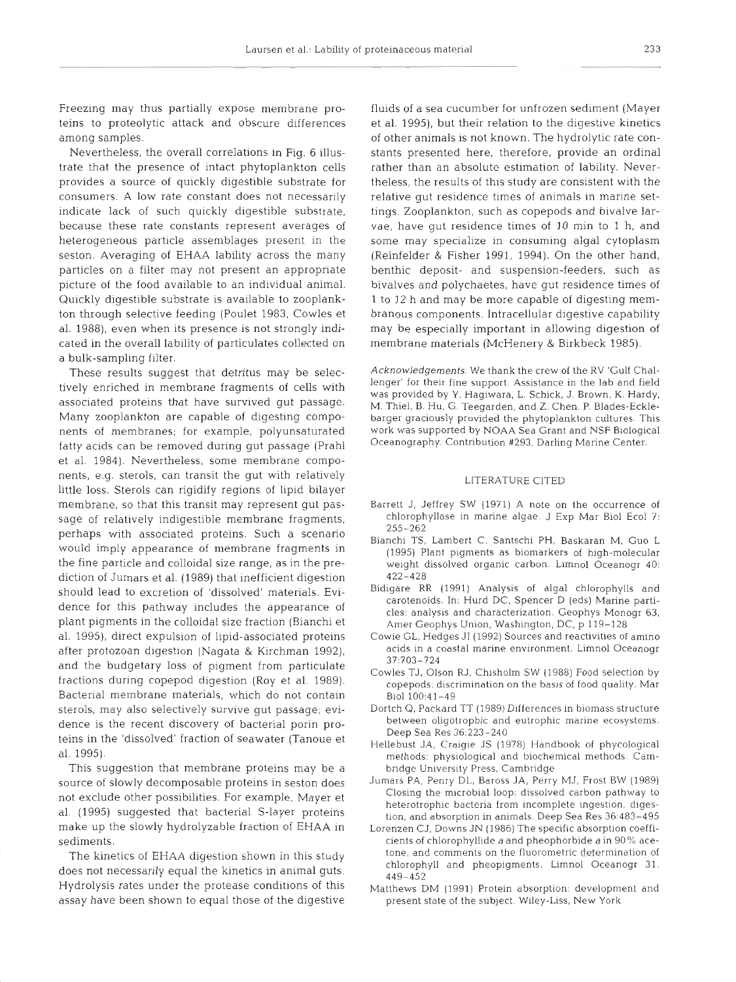Freezing may thus partially expose membrane proteins to proteolytic attack and obscure differences among samples.

Nevertheless, the overall correlations in Fig. 6 illustrate that the presence of intact phytoplankton cells provides a source of quickly digestible substrate for consumers. A low rate constant does not necessarily indicate lack of such quickly digestible substrate, because these rate constants represent averages of heterogeneous particle assemblages present in the seston. Averaging of EHAA lability across the many particles on a filter may not present an appropriate picture of the food available to an individual animal. Quickly digestible substrate is available to zooplankton through selective feeding (Poulet 1983, Cowles et al. 1988), even when its presence is not strongly indicated in the overall lability of particulates collected on a bulk-sampling filter.

These results suggest that detritus may be selectively enriched in membrane fragments of cells with associated proteins that have survived gut passage. Many zooplankton are capable of digesting components of membranes; for example, polyunsaturated fatty acids can be removed during gut passage (Prahl et al. 1984). Nevertheless, some membrane components, e.g. sterols, can transit the gut with relatively little loss. Sterols can rigidify regions of lipid bilayer membrane, so that this transit may represent gut passage of relatively indigestible membrane fragments. perhaps with associated proteins. Such a scenario would imply appearance of membrane fragments in the fine particle and colloidal size range, as in the prediction of Jumars et al. (1989) that inefficient digestion should lead to excretion of 'dissolved' materials. Evidence for this pathway includes the appearance of plant pigments in the colloidal size fraction (Bianchi et al. 1995), direct expulsion of lipid-associated proteins after protozoan digestion (Nagata & Kirchman 1992), and the budgetary loss of pigment from particulate fractions during copepod digestion (Roy et al. 1989). Bacterial membrane materials, which do not contain sterols, may also selectively survive gut passage; evidence is the recent discovery of bacterial porin proteins in the 'dissolved' fraction of seawater (Tanoue et al. 1995).

This suggestion that membrane proteins may be a source of slowly decomposable proteins in seston does not exclude other possibilities. For example, Mayer et al. (1995) suggested that bacterial S-layer proteins make up the slowly hydrolyzable fraction of EHAA in sediments.

The kinetics of EHAA digestion shown in this study does not necessarily equal the kinetics in animal guts. Hydrolysis rates under the protease conditions of this assay have been shown to equal those of the digestive

fluids of a sea cucumber for unfrozen sedlment (Mayer et al. 1995), but their relation to the digestive kinetics of other animals is not known. The hydrolytic rate constants presented here, therefore, provide an ordinal rather than an absolute estimation of lability. Nevertheless, the results of this study are consistent with the relative gut residence times of animals in marine settings. Zooplankton, such as copepods and bivalve larvae, have gut residence times of 10 min to 1 h, and some may specialize in consuming algal cytoplasm (Reinfelder & Fisher 1991, 1994). On the other hand, benthic deposit- and suspension-feeders, such as bivalves and polychaetes, have gut residence times of 1 to 12 h and may be more capable of digesting membranous components. Intracellular digestive capability may be especially important in allowing digestion of membrane materials (McHenery & Birkbeck 1985).

Acknowledgements. We thank the crew of the RV 'Gulf Challenger' for their fine support. Assistance in the lab and field was provided by Y. Hagiwara, L. Schick, J. Brown, K. Hardy, M. Thiel, B. Hu, G. Teegarden, and 2. Chen. P. Blades-Ecklebarger graciously provided the phytoplankton cultures. This work was supported by NOAA Sea Grant and NSF Biological Oceanography. Contribution #293, Darling Marine Center.

## LITERATURE CITED

- Barrett J, Jeffrey SW (1971) A note on the occurrence of chlorophyllase in marine algae. J Exp Mar Biol Ecol 7: 255-262
- Bianchi TS, Lambert C, Santschi PH, Baskaran M. Guo L (1995) Plant pigments as biomarkers of high-molecular weight dissolved organic carbon. Limnol Oceanogr 40: 422-428
- Bidigare RR (1991) Analysis of algal chlorophylls and carotenoids. In: Hurd DC, Spencer D (eds) Marine particles: analysis and characterization. Geophys Monogr 63, Amer Geophys Union, Washington, DC, p 119-128
- Cowie GL, Hedges JI (1992) Sources and reactivities of amino acids in a coastal marine environment. Limnol Oceanogr 37 703-724
- Cowles TJ, Olson RJ, Chisholm SW (1988) Food selection by copepods: discrimination on the basis of food quality. Mar Biol 100:41-49
- Dortch Q, Packard TT (1989) Differences in biomass structure between oligotrophic and eutrophic marine ecosystems. Deep Sea Res 36:223-240
- Hellebust JA, Craigie JS (1978) Handbook of phycological methods: physiological and biochemical methods. Cambridge University Press. Cambridge
- Jumars PA, Penry DL, Baross JA, Perry MJ, Frost BW (1989) Closing the microbial loop: dissolved carbon pathway to heterotrophic bacteria from incomplete ingestion, digestion, and absorption in animals. Deep Sea Res 36:483-495
- Lorenzen CJ, Downs JN (1986) The specific absorption coefficients of chlorophyllide a and pheophorbide a in 90% acetone, and comments on the fluorometric determination of chlorophyll and pheopigments. Limnol Oceanogr 31. 449-452
- Matthews DM (1991) Protein absorption: development and present state of the subject. Wiley-Liss, New York